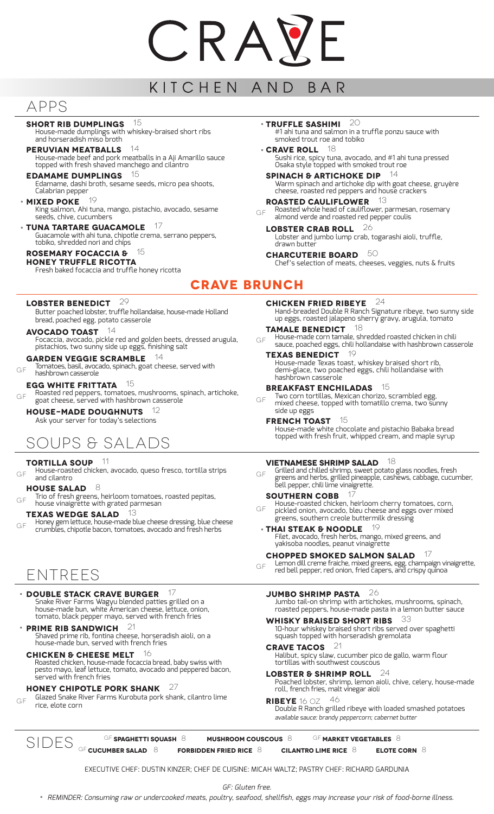# CRA

### KITCHEN AND BAR

# APPS

- **Short Rib Dumplings** 15 House-made dumplings with whiskey-braised short ribs and horseradish miso broth
- **Peruvian Meatballs** 14 House-made beef and pork meatballs in a Aji Amarillo sauce topped with fresh shaved manchego and cilantro
- **Edamame Dumplings** 15 Edamame, dashi broth, sesame seeds, micro pea shoots, Calabrian pepper
- **MIXED POKE** 19 King salmon, Ahi tuna, mango, pistachio, avocado, sesame seeds, chive, cucumbers
- **Tuna tartare guacamole** 17 Guacamole with ahi tuna, chipotle crema, serrano peppers, tobiko, shredded nori and chips °

## **ROSEMARY FOCACCIA & Honey Truffle Ricotta**

Fresh baked focaccia and truffle honey ricotta

- **TRUFFLE SASHIMI** 20
- #1 ahi tuna and salmon in a truffle ponzu sauce with smoked trout roe and tobiko
- **CRAVE ROLL** 18 Sushi rice, spicy tuna, avocado, and #1 ahi tuna pressed Osaka style topped with smoked trout roe
- **Spinach & Artichoke Dip** 14 Warm spinach and artichoke dip with goat cheese, gruyère cheese, roasted red peppers and house crackers
- **Roasted Cauliflower** 13 Roasted whole head of cauliflower, parmesan, rosemary almond verde and roasted red pepper coulis GF
	- **Lobster Crab Roll** 26 Lobster and jumbo lump crab, togarashi aioli, truffle, drawn butter
	- **charcuterie board** 50 Chef's selection of meats, cheeses, veggies, nuts & fruits

# **Crave Brunch**

## **Lobster Benedict** 29

Butter poached lobster, truffle hollandaise, house-made Holland bread, poached egg, potato casserole

## **Avocado Toast** 14

Focaccia, avocado, pickle red and golden beets, dressed arugula, pistachios, two sunny side up eggs, finishing salt

## **Garden Veggie Scramble** 14

Tomatoes, basil, avocado, spinach, goat cheese, served with hashbrown casserole  $GF$ 

## **Egg white frittata** 15

Roasted red peppers, tomatoes, mushrooms, spinach, artichoke, goat cheese, served with hashbrown casserole GF

## **House-made doughnuts** 12

Ask your server for today's selections

# Soups & Salads

## **Tortilla Soup** 11

- House-roasted chicken, avocado, queso fresco, tortilla strips and cilantro GF
- **House Salad** 8
- Trio of fresh greens, heirloom tomatoes, roasted pepitas, house vinaigrette with grated parmesan GF

## **Texas Wedge Salad** 13

 $\mathsf{G}\mathsf{F}$  Honey gem lettuce, house-made blue cheese dressing, blue cheese crumbles, chipotle bacon, tomatoes, avocado and fresh herbs  $\bullet$ 

# Entrees

## **DOUBLE STACK CRAVE BURGER** <sup>17</sup>

Snake River Farms Wagyu blended patties grilled on a house-made bun, white American cheese, lettuce, onion, tomato, black pepper mayo, served with french fries

## **PRIME RIB SANDWICH** 21

Shaved prime rib, fontina cheese, horseradish aioli, on a house-made bun, served with french fries

## **Chicken & Cheese Melt** 16

Roasted chicken, house-made focaccia bread, baby swiss with pesto mayo, leaf lettuce, tomato, avocado and peppered bacon, served with french fries

## **Honey Chipotle Pork Shank** 27

Glazed Snake River Farms Kurobuta pork shank, cilantro lime rice, elote corn GF

**Chicken Fried Ribeye** 24 Hand-breaded Double R Ranch Signature ribeye, two sunny side up eggs, roasted jalapeno sherry gravy, arugula, tomato

# **Tamale Benedict** <sup>18</sup>House-made corn tamale, shredded roasted chicken in chili

- sauce, poached eggs, chili hollandaise with hashbrown casserole gf
	- **Texas Benedict** 19 House-made Texas toast, whiskey braised short rib, demi-glace, two poached eggs, chili hollandaise with hashbrown casserole

**Breakfast Enchiladas** <sup>15</sup>Two corn tortillas, Mexican chorizo, scrambled egg, mixed cheese, topped with tomatillo crema, two sunny side up eggs GF

## **French Toast** 15

House-made white chocolate and pistachio Babaka bread topped with fresh fruit, whipped cream, and maple syrup

## **Vietnamese Shrimp Salad** 18

Grilled and chilled shrimp, sweet potato glass noodles, fresh greens and herbs, grilled pineapple, cashews, cabbage, cucumber, bell pepper, chili lime vinaigrette. GF

## **Southern Cobb** 17

House-roasted chicken, heirloom cherry tomatoes, corn, pickled onion, avocado, bleu cheese and eggs over mixed greens, southern creole buttermilk dressing gf

**Thai steak & Noodle** 19 Filet, avocado, fresh herbs, mango, mixed greens, and yakisoba noodles, peanut vinaigrette

## **Chopped Smoked Salmon Salad** 17

Lemon dill creme fraiche, mixed greens, egg, champaign vinaigrette, red bell pepper, red onion, fried capers, and crispy quinoa **GF** 

## **Jumbo Shrimp pasta** 26

Jumbo tail-on shrimp with artichokes, mushrooms, spinach, roasted peppers, house-made pasta in a lemon butter sauce

- **Whisky Braised Short Ribs** 33 10-hour whiskey braised short ribs served over spaghetti
- squash topped with horseradish gremolata **Crave Tacos** 21

Halibut, spicy slaw, cucumber pico de gallo, warm flour tortillas with southwest couscous

**Lobster & Shrimp Roll** 24 Poached lobster, shrimp, lemon aioli, chive, celery, house-made roll, french fries, malt vinegar aioli

## **Ribeye** 16 oz46

Double R Ranch grilled ribeye with loaded smashed potatoes available sauce: brandy peppercorn; cabernet butter

SIDES gf **Spaghetti Squash** 8 **Mushroom Couscous** 8 gf **Market Vegetables** <sup>8</sup> gf **cucumber salad** 8 **Forbidden fried rice** 8 **Cilantro Lime rice** 8 **Elote corn** 8

EXECUTIVE CHEF: DUSTIN KINZER; CHEF DE CUISINE: MICAH WALTZ; PASTRY CHEF: RICHARD GARDUNIA

GF: Gluten free.

° REMINDER: Consuming raw or undercooked meats, poultry, seafood, shellfish, eggs may increase your risk of food-borne illness.